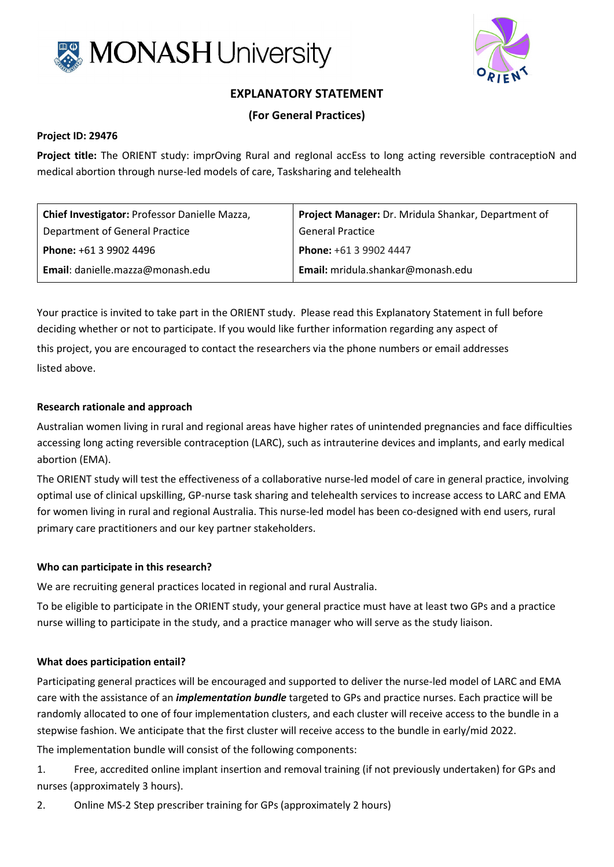



# **EXPLANATORY STATEMENT**

# **(For General Practices)**

### **Project ID: 29476**

**Project title:** The ORIENT study: imprOving Rural and regIonal accEss to long acting reversible contraceptioN and medical abortion through nurse-led models of care, Tasksharing and telehealth

| Chief Investigator: Professor Danielle Mazza, | Project Manager: Dr. Mridula Shankar, Department of |
|-----------------------------------------------|-----------------------------------------------------|
| Department of General Practice                | <b>General Practice</b>                             |
| <b>Phone: +61 3 9902 4496</b>                 | Phone: +61 3 9902 4447                              |
| Email: danielle.mazza@monash.edu              | Email: mridula.shankar@monash.edu                   |

Your practice is invited to take part in the ORIENT study. Please read this Explanatory Statement in full before deciding whether or not to participate. If you would like further information regarding any aspect of this project, you are encouraged to contact the researchers via the phone numbers or email addresses listed above.

#### **Research rationale and approach**

Australian women living in rural and regional areas have higher rates of unintended pregnancies and face difficulties accessing long acting reversible contraception (LARC), such as intrauterine devices and implants, and early medical abortion (EMA).

The ORIENT study will test the effectiveness of a collaborative nurse-led model of care in general practice, involving optimal use of clinical upskilling, GP-nurse task sharing and telehealth services to increase access to LARC and EMA for women living in rural and regional Australia. This nurse-led model has been co-designed with end users, rural primary care practitioners and our key partner stakeholders.

#### **Who can participate in this research?**

We are recruiting general practices located in regional and rural Australia.

To be eligible to participate in the ORIENT study, your general practice must have at least two GPs and a practice nurse willing to participate in the study, and a practice manager who will serve as the study liaison.

# **What does participation entail?**

Participating general practices will be encouraged and supported to deliver the nurse-led model of LARC and EMA care with the assistance of an *implementation bundle* targeted to GPs and practice nurses. Each practice will be randomly allocated to one of four implementation clusters, and each cluster will receive access to the bundle in a stepwise fashion. We anticipate that the first cluster will receive access to the bundle in early/mid 2022.

The implementation bundle will consist of the following components:

1. Free, accredited online implant insertion and removal training (if not previously undertaken) for GPs and nurses (approximately 3 hours).

2. Online MS-2 Step prescriber training for GPs (approximately 2 hours)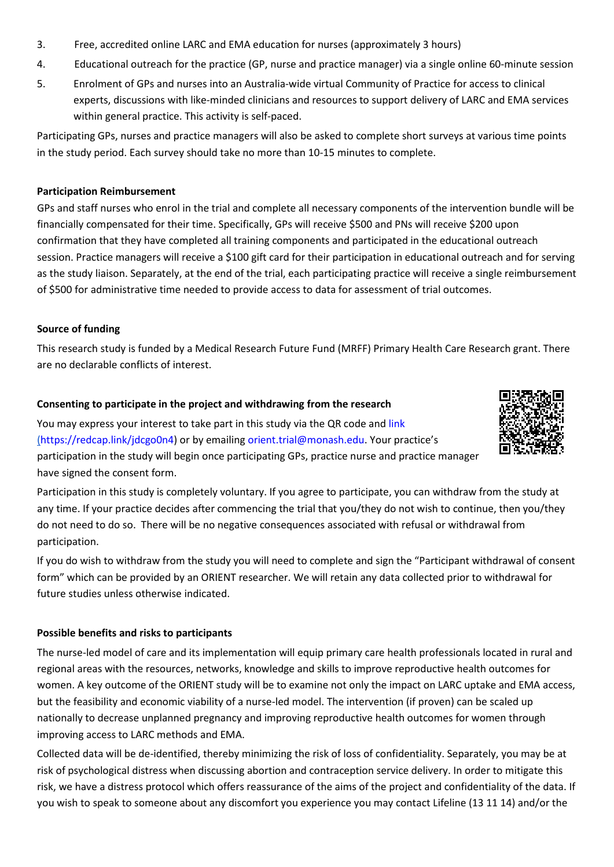- 3. Free, accredited online LARC and EMA education for nurses (approximately 3 hours)
- 4. Educational outreach for the practice (GP, nurse and practice manager) via a single online 60-minute session
- 5. Enrolment of GPs and nurses into an Australia-wide virtual Community of Practice for access to clinical experts, discussions with like-minded clinicians and resources to support delivery of LARC and EMA services within general practice. This activity is self-paced.

Participating GPs, nurses and practice managers will also be asked to complete short surveys at various time points in the study period. Each survey should take no more than 10-15 minutes to complete.

#### **Participation Reimbursement**

GPs and staff nurses who enrol in the trial and complete all necessary components of the intervention bundle will be financially compensated for their time. Specifically, GPs will receive \$500 and PNs will receive \$200 upon confirmation that they have completed all training components and participated in the educational outreach session. Practice managers will receive a \$100 gift card for their participation in educational outreach and for serving as the study liaison. Separately, at the end of the trial, each participating practice will receive a single reimbursement of \$500 for administrative time needed to provide access to data for assessment of trial outcomes.

#### **Source of funding**

This research study is funded by a Medical Research Future Fund (MRFF) Primary Health Care Research grant. There are no declarable conflicts of interest.

#### **Consenting to participate in the project and withdrawing from the research**

You may express your interest to take part in this study via the QR code and [link](mailto:link) [\(https://redcap.link/jdcgo0n4\)](https://redcap.link/jdcgo0n4) or by emailing [orient.trial@monash.edu.](mailto:orient.trial@monash.edu) Your practice's participation in the study will begin once participating GPs, practice nurse and practice manager have signed the consent form.

Participation in this study is completely voluntary. If you agree to participate, you can withdraw from the study at any time. If your practice decides after commencing the trial that you/they do not wish to continue, then you/they do not need to do so. There will be no negative consequences associated with refusal or withdrawal from participation.

If you do wish to withdraw from the study you will need to complete and sign the "Participant withdrawal of consent form" which can be provided by an ORIENT researcher. We will retain any data collected prior to withdrawal for future studies unless otherwise indicated.

# **Possible benefits and risks to participants**

The nurse-led model of care and its implementation will equip primary care health professionals located in rural and regional areas with the resources, networks, knowledge and skills to improve reproductive health outcomes for women. A key outcome of the ORIENT study will be to examine not only the impact on LARC uptake and EMA access, but the feasibility and economic viability of a nurse-led model. The intervention (if proven) can be scaled up nationally to decrease unplanned pregnancy and improving reproductive health outcomes for women through improving access to LARC methods and EMA.

Collected data will be de-identified, thereby minimizing the risk of loss of confidentiality. Separately, you may be at risk of psychological distress when discussing abortion and contraception service delivery. In order to mitigate this risk, we have a distress protocol which offers reassurance of the aims of the project and confidentiality of the data. If you wish to speak to someone about any discomfort you experience you may contact Lifeline (13 11 14) and/or the

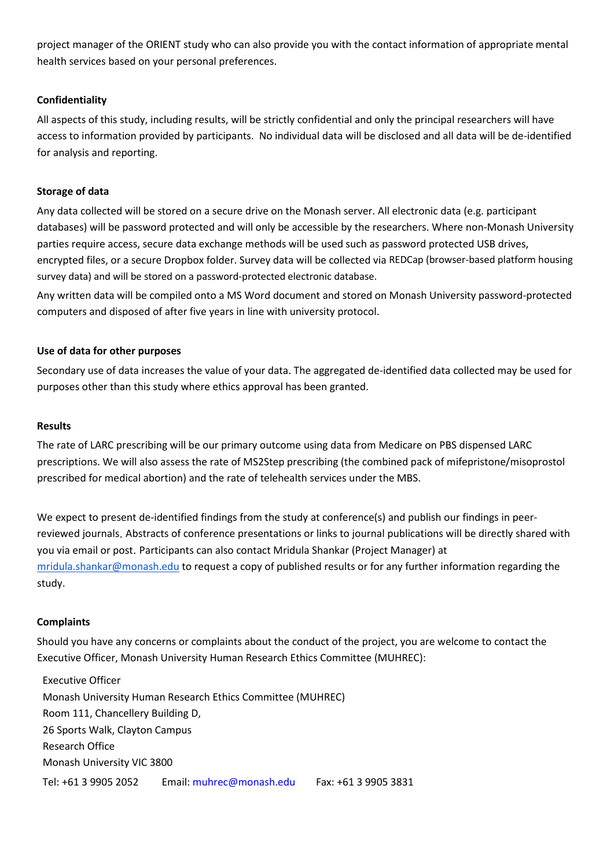project manager of the ORIENT study who can also provide you with the contact information of appropriate mental health services based on your personal preferences.

# **Confidentiality**

All aspects of this study, including results, will be strictly confidential and only the principal researchers will have access to information provided by participants. No individual data will be disclosed and all data will be de-identified for analysis and reporting.

# **Storage of data**

Any data collected will be stored on a secure drive on the Monash server. All electronic data (e.g. participant databases) will be password protected and will only be accessible by the researchers. Where non-Monash University parties require access, secure data exchange methods will be used such as password protected USB drives, encrypted files, or a secure Dropbox folder. Survey data will be collected via REDCap (browser-based platform housing survey data) and will be stored on a password-protected electronic database.

Any written data will be compiled onto a MS Word document and stored on Monash University password-protected computers and disposed of after five years in line with university protocol.

#### **Use of data for other purposes**

Secondary use of data increases the value of your data. The aggregated de-identified data collected may be used for purposes other than this study where ethics approval has been granted.

#### **Results**

The rate of LARC prescribing will be our primary outcome using data from Medicare on PBS dispensed LARC prescriptions. We will also assess the rate of MS2Step prescribing (the combined pack of mifepristone/misoprostol prescribed for medical abortion) and the rate of telehealth services under the MBS.

We expect to present de-identified findings from the study at conference(s) and publish our findings in peerreviewed journals. Abstracts of conference presentations or links to journal publications will be directly shared with you via email or post. Participants can also contact Mridula Shankar (Project Manager) at [mridula.shankar@monash.edu](mailto:mridula.shankar@monash.edu) to request a copy of published results or for any further information regarding the study.

#### **Complaints**

Should you have any concerns or complaints about the conduct of the project, you are welcome to contact the Executive Officer, Monash University Human Research Ethics Committee (MUHREC):

Executive Officer Monash University Human Research Ethics Committee (MUHREC) Room 111, Chancellery Building D, 26 Sports Walk, Clayton Campus Research Office Monash University VIC 3800 Tel: +61 3 9905 2052 Email: [muhrec@monash.edu](mailto:muhrec@monash.edu) Fax: +61 3 9905 3831